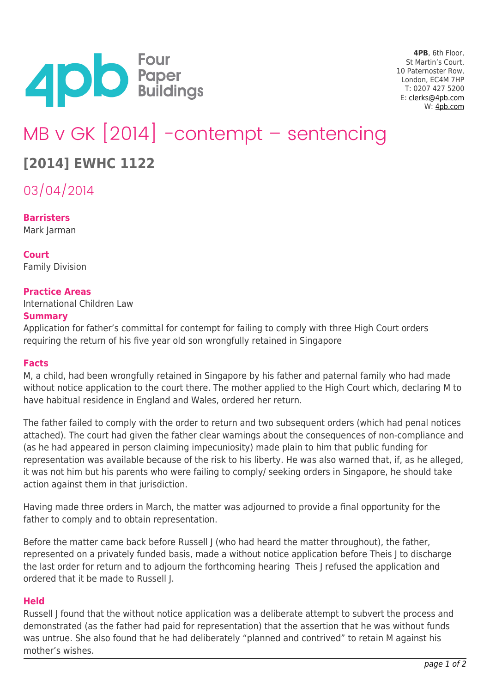

**4PB**, 6th Floor, St Martin's Court, 10 Paternoster Row, London, EC4M 7HP T: 0207 427 5200 E: [clerks@4pb.com](mailto:clerks@4pb.com) W: [4pb.com](http://4pb.com)

# MB v GK [2014] -contempt – sentencing

# **[2014] EWHC 1122**

03/04/2014

**Barristers** Mark Jarman

**Court** Family Division

## **Practice Areas**

International Children Law

#### **Summary**

Application for father's committal for contempt for failing to comply with three High Court orders requiring the return of his five year old son wrongfully retained in Singapore

#### **Facts**

M, a child, had been wrongfully retained in Singapore by his father and paternal family who had made without notice application to the court there. The mother applied to the High Court which, declaring M to have habitual residence in England and Wales, ordered her return.

The father failed to comply with the order to return and two subsequent orders (which had penal notices attached). The court had given the father clear warnings about the consequences of non-compliance and (as he had appeared in person claiming impecuniosity) made plain to him that public funding for representation was available because of the risk to his liberty. He was also warned that, if, as he alleged, it was not him but his parents who were failing to comply/ seeking orders in Singapore, he should take action against them in that jurisdiction.

Having made three orders in March, the matter was adjourned to provide a final opportunity for the father to comply and to obtain representation.

Before the matter came back before Russell J (who had heard the matter throughout), the father, represented on a privately funded basis, made a without notice application before Theis J to discharge the last order for return and to adjourn the forthcoming hearing Theis J refused the application and ordered that it be made to Russell J.

## **Held**

Russell J found that the without notice application was a deliberate attempt to subvert the process and demonstrated (as the father had paid for representation) that the assertion that he was without funds was untrue. She also found that he had deliberately "planned and contrived" to retain M against his mother's wishes.